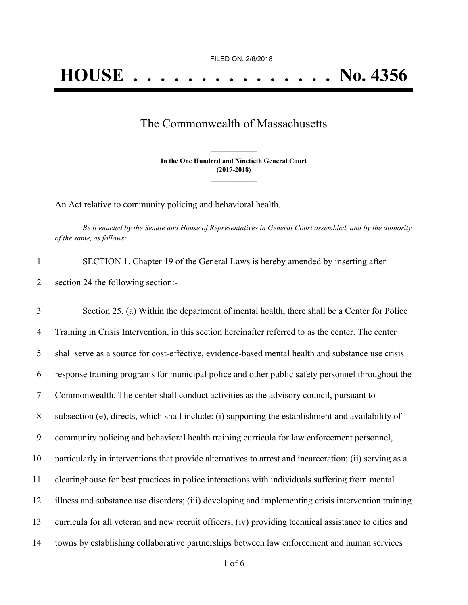## The Commonwealth of Massachusetts

**In the One Hundred and Ninetieth General Court (2017-2018) \_\_\_\_\_\_\_\_\_\_\_\_\_\_\_**

**\_\_\_\_\_\_\_\_\_\_\_\_\_\_\_**

An Act relative to community policing and behavioral health.

Be it enacted by the Senate and House of Representatives in General Court assembled, and by the authority *of the same, as follows:*

| SECTION 1. Chapter 19 of the General Laws is hereby amended by inserting after |
|--------------------------------------------------------------------------------|
| section 24 the following section:-                                             |

 Section 25. (a) Within the department of mental health, there shall be a Center for Police Training in Crisis Intervention, in this section hereinafter referred to as the center. The center shall serve as a source for cost-effective, evidence-based mental health and substance use crisis response training programs for municipal police and other public safety personnel throughout the Commonwealth. The center shall conduct activities as the advisory council, pursuant to subsection (e), directs, which shall include: (i) supporting the establishment and availability of community policing and behavioral health training curricula for law enforcement personnel, particularly in interventions that provide alternatives to arrest and incarceration; (ii) serving as a clearinghouse for best practices in police interactions with individuals suffering from mental illness and substance use disorders; (iii) developing and implementing crisis intervention training curricula for all veteran and new recruit officers; (iv) providing technical assistance to cities and towns by establishing collaborative partnerships between law enforcement and human services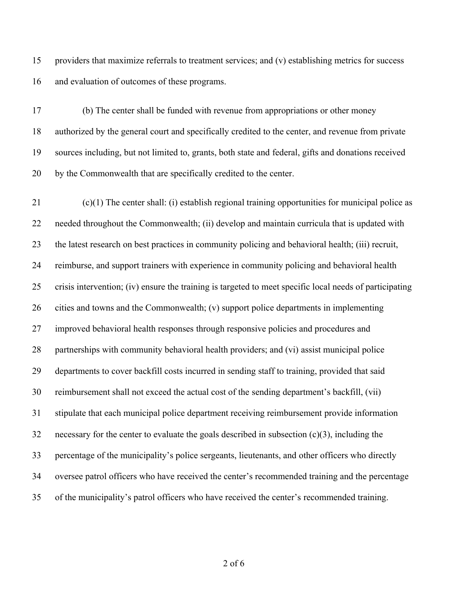providers that maximize referrals to treatment services; and (v) establishing metrics for success and evaluation of outcomes of these programs.

 (b) The center shall be funded with revenue from appropriations or other money authorized by the general court and specifically credited to the center, and revenue from private sources including, but not limited to, grants, both state and federal, gifts and donations received by the Commonwealth that are specifically credited to the center.

 (c)(1) The center shall: (i) establish regional training opportunities for municipal police as needed throughout the Commonwealth; (ii) develop and maintain curricula that is updated with the latest research on best practices in community policing and behavioral health; (iii) recruit, reimburse, and support trainers with experience in community policing and behavioral health crisis intervention; (iv) ensure the training is targeted to meet specific local needs of participating cities and towns and the Commonwealth; (v) support police departments in implementing improved behavioral health responses through responsive policies and procedures and partnerships with community behavioral health providers; and (vi) assist municipal police departments to cover backfill costs incurred in sending staff to training, provided that said reimbursement shall not exceed the actual cost of the sending department's backfill, (vii) stipulate that each municipal police department receiving reimbursement provide information necessary for the center to evaluate the goals described in subsection (c)(3), including the percentage of the municipality's police sergeants, lieutenants, and other officers who directly oversee patrol officers who have received the center's recommended training and the percentage of the municipality's patrol officers who have received the center's recommended training.

of 6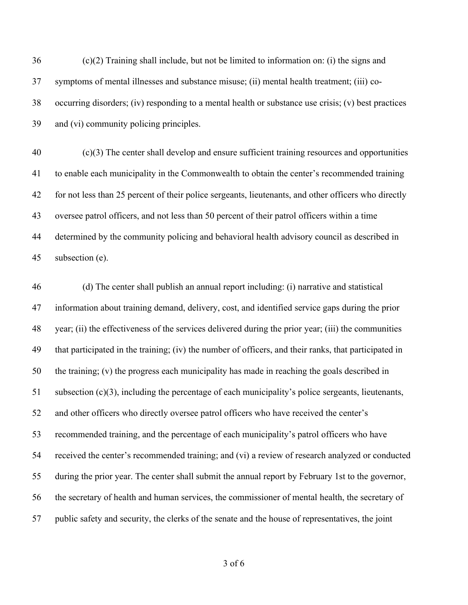(c)(2) Training shall include, but not be limited to information on: (i) the signs and symptoms of mental illnesses and substance misuse; (ii) mental health treatment; (iii) co- occurring disorders; (iv) responding to a mental health or substance use crisis; (v) best practices and (vi) community policing principles.

 (c)(3) The center shall develop and ensure sufficient training resources and opportunities to enable each municipality in the Commonwealth to obtain the center's recommended training for not less than 25 percent of their police sergeants, lieutenants, and other officers who directly oversee patrol officers, and not less than 50 percent of their patrol officers within a time determined by the community policing and behavioral health advisory council as described in subsection (e).

 (d) The center shall publish an annual report including: (i) narrative and statistical information about training demand, delivery, cost, and identified service gaps during the prior year; (ii) the effectiveness of the services delivered during the prior year; (iii) the communities that participated in the training; (iv) the number of officers, and their ranks, that participated in the training; (v) the progress each municipality has made in reaching the goals described in subsection (c)(3), including the percentage of each municipality's police sergeants, lieutenants, and other officers who directly oversee patrol officers who have received the center's recommended training, and the percentage of each municipality's patrol officers who have received the center's recommended training; and (vi) a review of research analyzed or conducted during the prior year. The center shall submit the annual report by February 1st to the governor, the secretary of health and human services, the commissioner of mental health, the secretary of public safety and security, the clerks of the senate and the house of representatives, the joint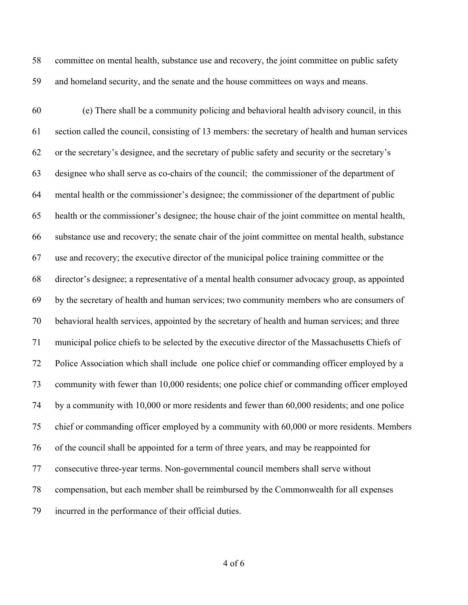committee on mental health, substance use and recovery, the joint committee on public safety and homeland security, and the senate and the house committees on ways and means.

 (e) There shall be a community policing and behavioral health advisory council, in this section called the council, consisting of 13 members: the secretary of health and human services or the secretary's designee, and the secretary of public safety and security or the secretary's designee who shall serve as co-chairs of the council; the commissioner of the department of mental health or the commissioner's designee; the commissioner of the department of public health or the commissioner's designee; the house chair of the joint committee on mental health, substance use and recovery; the senate chair of the joint committee on mental health, substance use and recovery; the executive director of the municipal police training committee or the director's designee; a representative of a mental health consumer advocacy group, as appointed by the secretary of health and human services; two community members who are consumers of behavioral health services, appointed by the secretary of health and human services; and three municipal police chiefs to be selected by the executive director of the Massachusetts Chiefs of Police Association which shall include one police chief or commanding officer employed by a community with fewer than 10,000 residents; one police chief or commanding officer employed by a community with 10,000 or more residents and fewer than 60,000 residents; and one police chief or commanding officer employed by a community with 60,000 or more residents. Members of the council shall be appointed for a term of three years, and may be reappointed for consecutive three-year terms. Non-governmental council members shall serve without compensation, but each member shall be reimbursed by the Commonwealth for all expenses incurred in the performance of their official duties.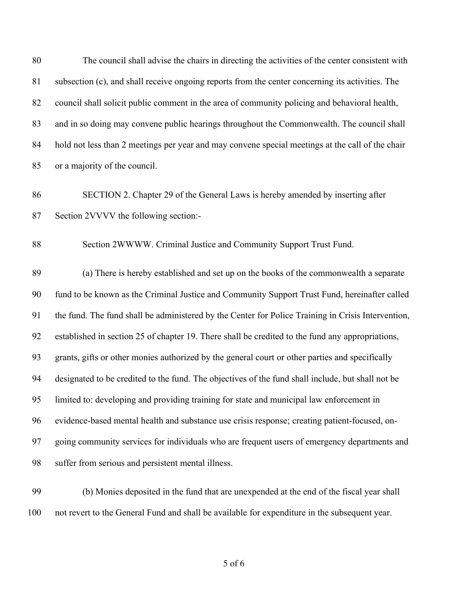The council shall advise the chairs in directing the activities of the center consistent with subsection (c), and shall receive ongoing reports from the center concerning its activities. The council shall solicit public comment in the area of community policing and behavioral health, and in so doing may convene public hearings throughout the Commonwealth. The council shall hold not less than 2 meetings per year and may convene special meetings at the call of the chair or a majority of the council.

 SECTION 2. Chapter 29 of the General Laws is hereby amended by inserting after Section 2VVVV the following section:-

Section 2WWWW. Criminal Justice and Community Support Trust Fund.

 (a) There is hereby established and set up on the books of the commonwealth a separate fund to be known as the Criminal Justice and Community Support Trust Fund, hereinafter called the fund. The fund shall be administered by the Center for Police Training in Crisis Intervention, established in section 25 of chapter 19. There shall be credited to the fund any appropriations, grants, gifts or other monies authorized by the general court or other parties and specifically designated to be credited to the fund. The objectives of the fund shall include, but shall not be limited to: developing and providing training for state and municipal law enforcement in evidence-based mental health and substance use crisis response; creating patient-focused, on- going community services for individuals who are frequent users of emergency departments and suffer from serious and persistent mental illness.

 (b) Monies deposited in the fund that are unexpended at the end of the fiscal year shall not revert to the General Fund and shall be available for expenditure in the subsequent year.

of 6